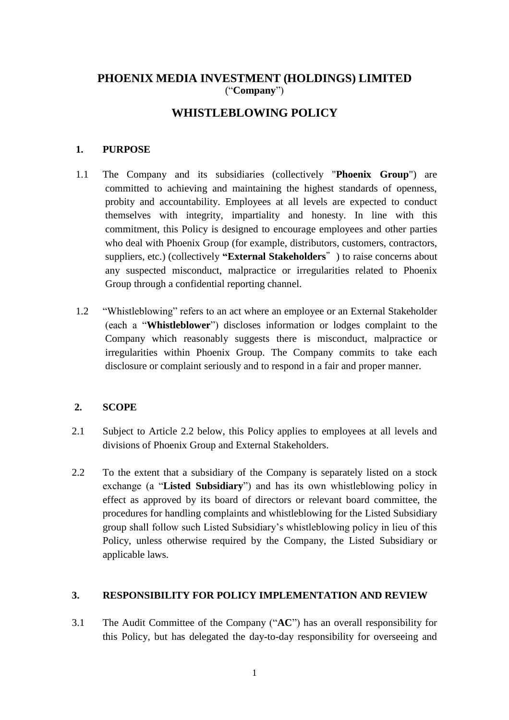# **PHOENIX MEDIA INVESTMENT (HOLDINGS) LIMITED** ("**Company**")

# **WHISTLEBLOWING POLICY**

### **1. PURPOSE**

- 1.1 The Company and its subsidiaries (collectively "**Phoenix Group**") are committed to achieving and maintaining the highest standards of openness, probity and accountability. Employees at all levels are expected to conduct themselves with integrity, impartiality and honesty. In line with this commitment, this Policy is designed to encourage employees and other parties who deal with Phoenix Group (for example, distributors, customers, contractors, suppliers, etc.) (collectively **"External Stakeholders**") to raise concerns about any suspected misconduct, malpractice or irregularities related to Phoenix Group through a confidential reporting channel.
- 1.2 "Whistleblowing" refers to an act where an employee or an External Stakeholder (each a "**Whistleblower**") discloses information or lodges complaint to the Company which reasonably suggests there is misconduct, malpractice or irregularities within Phoenix Group. The Company commits to take each disclosure or complaint seriously and to respond in a fair and proper manner.

#### **2. SCOPE**

- 2.1 Subject to Article 2.2 below, this Policy applies to employees at all levels and divisions of Phoenix Group and External Stakeholders.
- 2.2 To the extent that a subsidiary of the Company is separately listed on a stock exchange (a "**Listed Subsidiary**") and has its own whistleblowing policy in effect as approved by its board of directors or relevant board committee, the procedures for handling complaints and whistleblowing for the Listed Subsidiary group shall follow such Listed Subsidiary's whistleblowing policy in lieu of this Policy, unless otherwise required by the Company, the Listed Subsidiary or applicable laws.

### **3. RESPONSIBILITY FOR POLICY IMPLEMENTATION AND REVIEW**

3.1 The Audit Committee of the Company ("**AC**") has an overall responsibility for this Policy, but has delegated the day-to-day responsibility for overseeing and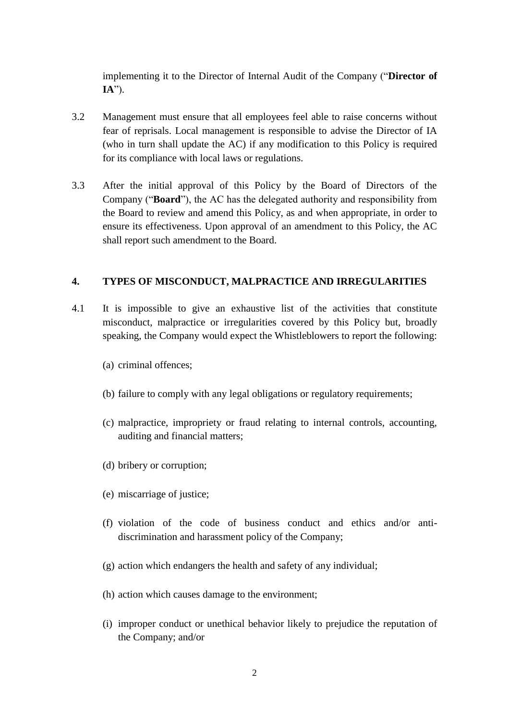implementing it to the Director of Internal Audit of the Company ("**Director of IA**").

- 3.2 Management must ensure that all employees feel able to raise concerns without fear of reprisals. Local management is responsible to advise the Director of IA (who in turn shall update the AC) if any modification to this Policy is required for its compliance with local laws or regulations.
- 3.3 After the initial approval of this Policy by the Board of Directors of the Company ("**Board**"), the AC has the delegated authority and responsibility from the Board to review and amend this Policy, as and when appropriate, in order to ensure its effectiveness. Upon approval of an amendment to this Policy, the AC shall report such amendment to the Board.

## **4. TYPES OF MISCONDUCT, MALPRACTICE AND IRREGULARITIES**

- 4.1 It is impossible to give an exhaustive list of the activities that constitute misconduct, malpractice or irregularities covered by this Policy but, broadly speaking, the Company would expect the Whistleblowers to report the following:
	- (a) criminal offences;
	- (b) failure to comply with any legal obligations or regulatory requirements;
	- (c) malpractice, impropriety or fraud relating to internal controls, accounting, auditing and financial matters;
	- (d) bribery or corruption;
	- (e) miscarriage of justice;
	- (f) violation of the code of business conduct and ethics and/or antidiscrimination and harassment policy of the Company;
	- (g) action which endangers the health and safety of any individual;
	- (h) action which causes damage to the environment;
	- (i) improper conduct or unethical behavior likely to prejudice the reputation of the Company; and/or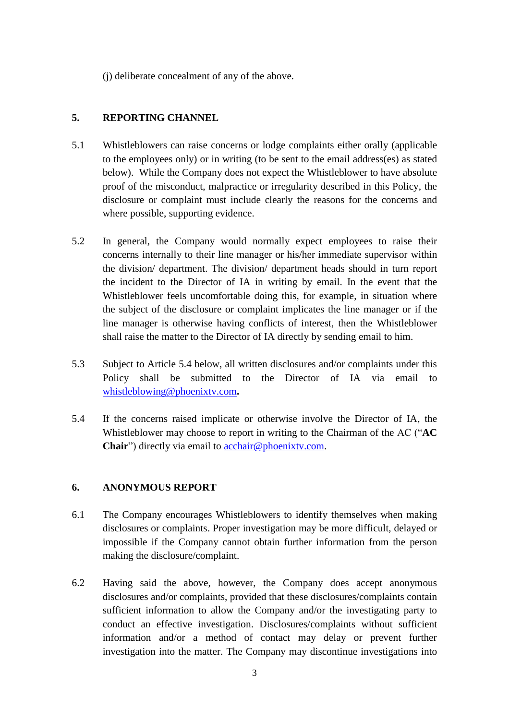(j) deliberate concealment of any of the above.

### **5. REPORTING CHANNEL**

- 5.1 Whistleblowers can raise concerns or lodge complaints either orally (applicable to the employees only) or in writing (to be sent to the email address(es) as stated below). While the Company does not expect the Whistleblower to have absolute proof of the misconduct, malpractice or irregularity described in this Policy, the disclosure or complaint must include clearly the reasons for the concerns and where possible, supporting evidence.
- 5.2 In general, the Company would normally expect employees to raise their concerns internally to their line manager or his/her immediate supervisor within the division/ department. The division/ department heads should in turn report the incident to the Director of IA in writing by email. In the event that the Whistleblower feels uncomfortable doing this, for example, in situation where the subject of the disclosure or complaint implicates the line manager or if the line manager is otherwise having conflicts of interest, then the Whistleblower shall raise the matter to the Director of IA directly by sending email to him.
- 5.3 Subject to Article 5.4 below, all written disclosures and/or complaints under this Policy shall be submitted to the Director of IA via email to [whistleblowing@phoenixtv.com](mailto:whistleblowing@phoenixtv.com)**.**
- 5.4 If the concerns raised implicate or otherwise involve the Director of IA, the Whistleblower may choose to report in writing to the Chairman of the AC ("**AC Chair**") directly via email to acchair@phoenixty.com.

### **6. ANONYMOUS REPORT**

- 6.1 The Company encourages Whistleblowers to identify themselves when making disclosures or complaints. Proper investigation may be more difficult, delayed or impossible if the Company cannot obtain further information from the person making the disclosure/complaint.
- 6.2 Having said the above, however, the Company does accept anonymous disclosures and/or complaints, provided that these disclosures/complaints contain sufficient information to allow the Company and/or the investigating party to conduct an effective investigation. Disclosures/complaints without sufficient information and/or a method of contact may delay or prevent further investigation into the matter. The Company may discontinue investigations into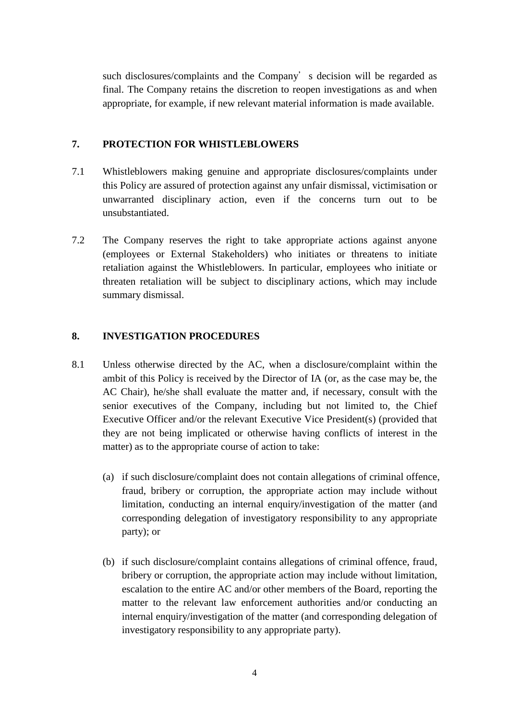such disclosures/complaints and the Company's decision will be regarded as final. The Company retains the discretion to reopen investigations as and when appropriate, for example, if new relevant material information is made available.

#### **7. PROTECTION FOR WHISTLEBLOWERS**

- 7.1 Whistleblowers making genuine and appropriate disclosures/complaints under this Policy are assured of protection against any unfair dismissal, victimisation or unwarranted disciplinary action, even if the concerns turn out to be unsubstantiated.
- 7.2 The Company reserves the right to take appropriate actions against anyone (employees or External Stakeholders) who initiates or threatens to initiate retaliation against the Whistleblowers. In particular, employees who initiate or threaten retaliation will be subject to disciplinary actions, which may include summary dismissal.

## **8. INVESTIGATION PROCEDURES**

- 8.1 Unless otherwise directed by the AC, when a disclosure/complaint within the ambit of this Policy is received by the Director of IA (or, as the case may be, the AC Chair), he/she shall evaluate the matter and, if necessary, consult with the senior executives of the Company, including but not limited to, the Chief Executive Officer and/or the relevant Executive Vice President(s) (provided that they are not being implicated or otherwise having conflicts of interest in the matter) as to the appropriate course of action to take:
	- (a) if such disclosure/complaint does not contain allegations of criminal offence, fraud, bribery or corruption, the appropriate action may include without limitation, conducting an internal enquiry/investigation of the matter (and corresponding delegation of investigatory responsibility to any appropriate party); or
	- (b) if such disclosure/complaint contains allegations of criminal offence, fraud, bribery or corruption, the appropriate action may include without limitation, escalation to the entire AC and/or other members of the Board, reporting the matter to the relevant law enforcement authorities and/or conducting an internal enquiry/investigation of the matter (and corresponding delegation of investigatory responsibility to any appropriate party).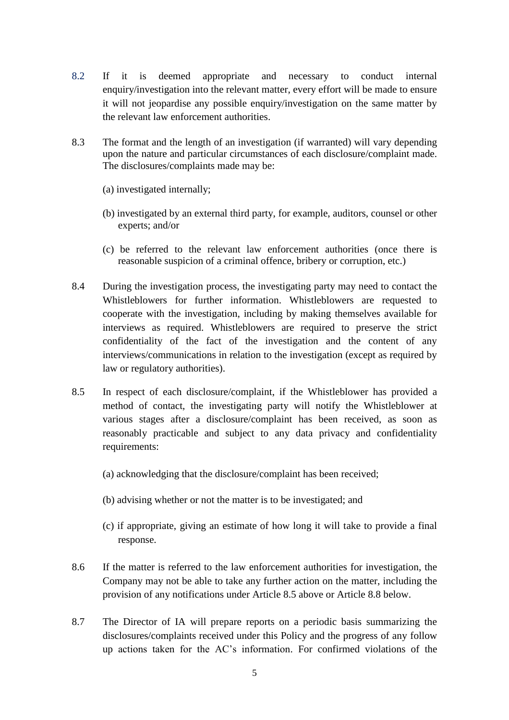- 8.2 If it is deemed appropriate and necessary to conduct internal enquiry/investigation into the relevant matter, every effort will be made to ensure it will not jeopardise any possible enquiry/investigation on the same matter by the relevant law enforcement authorities.
- 8.3 The format and the length of an investigation (if warranted) will vary depending upon the nature and particular circumstances of each disclosure/complaint made. The disclosures/complaints made may be:
	- (a) investigated internally;
	- (b) investigated by an external third party, for example, auditors, counsel or other experts; and/or
	- (c) be referred to the relevant law enforcement authorities (once there is reasonable suspicion of a criminal offence, bribery or corruption, etc.)
- 8.4 During the investigation process, the investigating party may need to contact the Whistleblowers for further information. Whistleblowers are requested to cooperate with the investigation, including by making themselves available for interviews as required. Whistleblowers are required to preserve the strict confidentiality of the fact of the investigation and the content of any interviews/communications in relation to the investigation (except as required by law or regulatory authorities).
- 8.5 In respect of each disclosure/complaint, if the Whistleblower has provided a method of contact, the investigating party will notify the Whistleblower at various stages after a disclosure/complaint has been received, as soon as reasonably practicable and subject to any data privacy and confidentiality requirements:
	- (a) acknowledging that the disclosure/complaint has been received;
	- (b) advising whether or not the matter is to be investigated; and
	- (c) if appropriate, giving an estimate of how long it will take to provide a final response.
- 8.6 If the matter is referred to the law enforcement authorities for investigation, the Company may not be able to take any further action on the matter, including the provision of any notifications under Article 8.5 above or Article 8.8 below.
- 8.7 The Director of IA will prepare reports on a periodic basis summarizing the disclosures/complaints received under this Policy and the progress of any follow up actions taken for the AC's information. For confirmed violations of the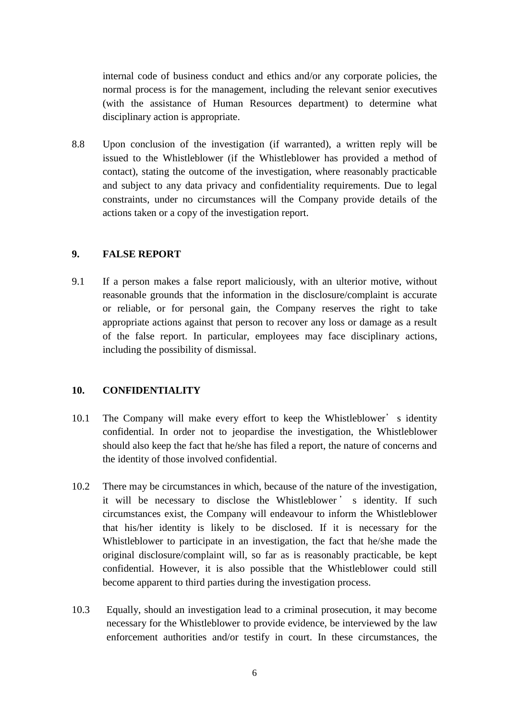internal code of business conduct and ethics and/or any corporate policies, the normal process is for the management, including the relevant senior executives (with the assistance of Human Resources department) to determine what disciplinary action is appropriate.

8.8 Upon conclusion of the investigation (if warranted), a written reply will be issued to the Whistleblower (if the Whistleblower has provided a method of contact), stating the outcome of the investigation, where reasonably practicable and subject to any data privacy and confidentiality requirements. Due to legal constraints, under no circumstances will the Company provide details of the actions taken or a copy of the investigation report.

#### **9. FALSE REPORT**

9.1 If a person makes a false report maliciously, with an ulterior motive, without reasonable grounds that the information in the disclosure/complaint is accurate or reliable, or for personal gain, the Company reserves the right to take appropriate actions against that person to recover any loss or damage as a result of the false report. In particular, employees may face disciplinary actions, including the possibility of dismissal.

#### **10. CONFIDENTIALITY**

- 10.1 The Company will make every effort to keep the Whistleblower's identity confidential. In order not to jeopardise the investigation, the Whistleblower should also keep the fact that he/she has filed a report, the nature of concerns and the identity of those involved confidential.
- 10.2 There may be circumstances in which, because of the nature of the investigation, it will be necessary to disclose the Whistleblower ' s identity. If such circumstances exist, the Company will endeavour to inform the Whistleblower that his/her identity is likely to be disclosed. If it is necessary for the Whistleblower to participate in an investigation, the fact that he/she made the original disclosure/complaint will, so far as is reasonably practicable, be kept confidential. However, it is also possible that the Whistleblower could still become apparent to third parties during the investigation process.
- 10.3 Equally, should an investigation lead to a criminal prosecution, it may become necessary for the Whistleblower to provide evidence, be interviewed by the law enforcement authorities and/or testify in court. In these circumstances, the